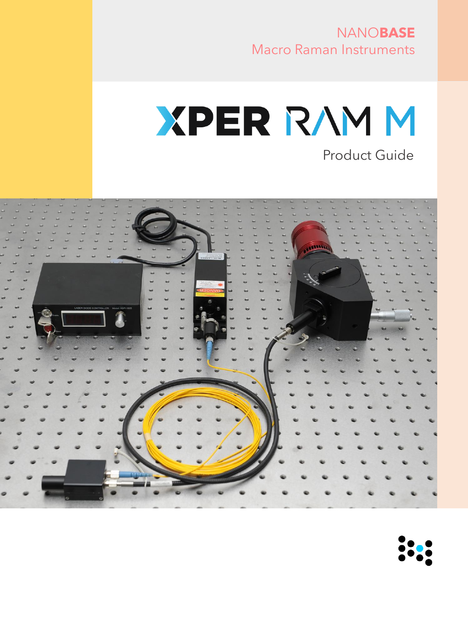# NANO**BASE** Macro Raman Instruments

# **XPER RAMM** Product Guide

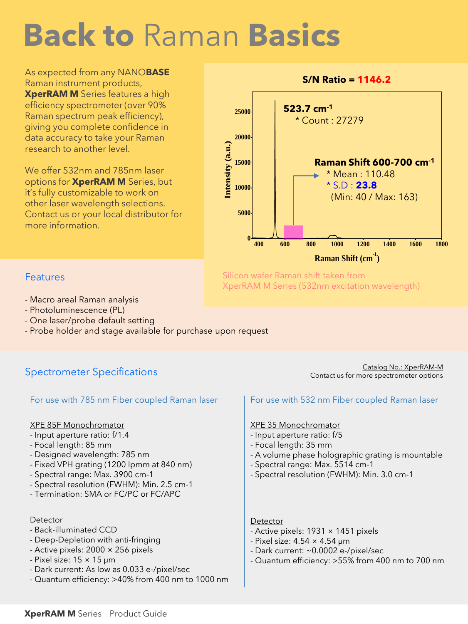# **Back to** Raman **Basics**

As expected from any NANO**BASE** Raman instrument products, **XperRAM M** Series features a high efficiency spectrometer (over 90% Raman spectrum peak efficiency), giving you complete confidence in data accuracy to take your Raman research to another level.

We offer 532nm and 785nm laser options for **XperRAM M** Series, but it's fully customizable to work on other laser wavelength selections. Contact us or your local distributor for more information.



Silicon wafer Raman shift taken from XperRAM M Series (532nm excitation wavelength)

### **Features**

- Macro areal Raman analysis
- Photoluminescence (PL)
- One laser/probe default setting
- Probe holder and stage available for purchase upon request

## Spectrometer Specifications

#### For use with 785 nm Fiber coupled Raman laser For use with 532 nm Fiber coupled Raman laser

#### XPE 85F Monochromator

- Input aperture ratio: f/1.4
- Focal length: 85 mm
- Designed wavelength: 785 nm
- Fixed VPH grating (1200 lpmm at 840 nm)
- Spectral range: Max. 3900 cm-1
- Spectral resolution (FWHM): Min. 2.5 cm-1
- Termination: SMA or FC/PC or FC/APC

#### Detector

- Back-illuminated CCD
- Deep-Depletion with anti-fringing
- Active pixels: 2000 × 256 pixels
- $-$  Pixel size:  $15 \times 15$  µm
- Dark current: As low as 0.033 e-/pixel/sec
- Quantum efficiency: >40% from 400 nm to 1000 nm

Catalog No.: XperRAM-M Contact us for more spectrometer options

#### XPE 35 Monochromator

- Input aperture ratio: f/5
- Focal length: 35 mm
- A volume phase holographic grating is mountable
- Spectral range: Max. 5514 cm-1
- Spectral resolution (FWHM): Min. 3.0 cm-1

#### **Detector**

- Active pixels: 1931 × 1451 pixels
- Pixel size: 4.54 × 4.54 μm
- Dark current: ~0.0002 e-/pixel/sec
- Quantum efficiency: >55% from 400 nm to 700 nm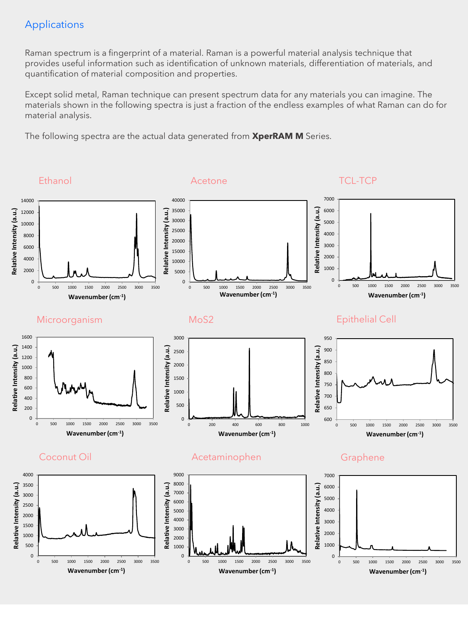### Applications

Raman spectrum is a fingerprint of a material. Raman is a powerful material analysis technique that provides useful information such as identification of unknown materials, differentiation of materials, and quantification of material composition and properties.

Except solid metal, Raman technique can present spectrum data for any materials you can imagine. The materials shown in the following spectra is just a fraction of the endless examples of what Raman can do for material analysis.

The following spectra are the actual data generated from **XperRAM M** Series.